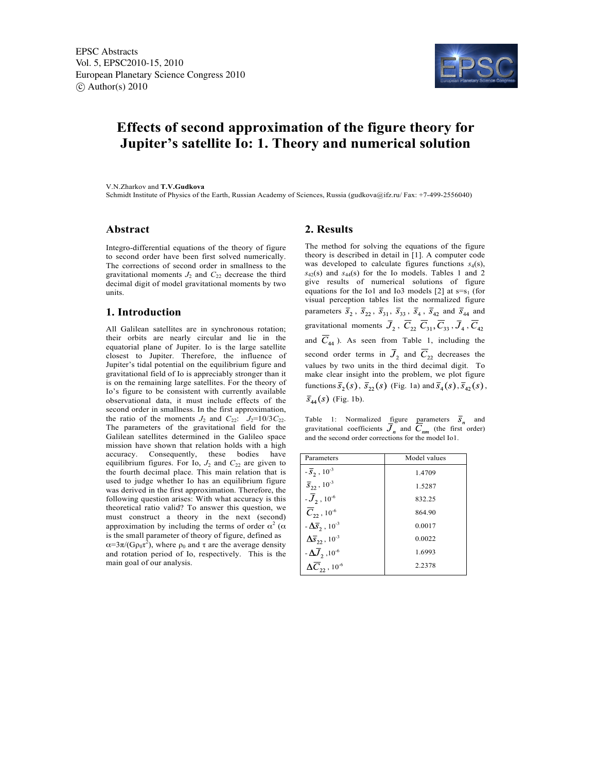

# **Effects of second approximation of the figure theory for Jupiter's satellite Io: 1. Theory and numerical solution**

V.N.Zharkov and **T.V.Gudkova**

Schmidt Institute of Physics of the Earth, Russian Academy of Sciences, Russia (gudkova@ifz.ru/ Fax: +7-499-2556040)

## **Abstract**

Integro-differential equations of the theory of figure to second order have been first solved numerically. The corrections of second order in smallness to the gravitational moments  $J_2$  and  $C_{22}$  decrease the third decimal digit of model gravitational moments by two units.

#### **1. Introduction**

All Galilean satellites are in synchronous rotation; their orbits are nearly circular and lie in the equatorial plane of Jupiter. Io is the large satellite closest to Jupiter. Therefore, the influence of Jupiter's tidal potential on the equilibrium figure and gravitational field of Io is appreciably stronger than it is on the remaining large satellites. For the theory of Io's figure to be consistent with currently available observational data, it must include effects of the second order in smallness. In the first approximation, the ratio of the moments  $J_2$  and  $C_{22}$ :  $J_2=10/3C_{22}$ . The parameters of the gravitational field for the Galilean satellites determined in the Galileo space mission have shown that relation holds with a high accuracy. Consequently, these bodies have equilibrium figures. For Io,  $J_2$  and  $C_{22}$  are given to the fourth decimal place. This main relation that is used to judge whether Io has an equilibrium figure was derived in the first approximation. Therefore, the following question arises: With what accuracy is this theoretical ratio valid? To answer this question, we must construct a theory in the next (second) approximation by including the terms of order  $\alpha^2$  ( $\alpha$ is the small parameter of theory of figure, defined as  $\alpha = 3\pi/(G \rho_0 \tau^2)$ , where  $\rho_0$  and  $\tau$  are the average density and rotation period of Io, respectively. This is the main goal of our analysis.

## **2. Results**

The method for solving the equations of the figure theory is described in detail in [1]. A computer code was developed to calculate figures functions  $s_4(s)$ ,  $s_{42}(s)$  and  $s_{44}(s)$  for the Io models. Tables 1 and 2 give results of numerical solutions of figure equations for the Io1 and Io3 models  $[2]$  at s=s<sub>1</sub> (for visual perception tables list the normalized figure parameters  $\overline{s}_2$ ,  $\overline{s}_{22}$ ,  $\overline{s}_{31}$ ,  $\overline{s}_{33}$ ,  $\overline{s}_4$ ,  $\overline{s}_{42}$  and  $\overline{s}_{44}$  and gravitational moments  $\overline{J}_2$ ,  $\overline{C}_{22}$   $\overline{C}_{31}$ ,  $\overline{C}_{33}$ ,  $\overline{J}_4$ ,  $\overline{C}_{42}$ and  $\overline{C}_{44}$ ). As seen from Table 1, including the second order terms in  $\overline{J}_2$  and  $\overline{C}_{22}$  decreases the values by two units in the third decimal digit. To make clear insight into the problem, we plot figure functions  $\overline{s}_2(s)$ ,  $\overline{s}_{22}(s)$  (Fig. 1a) and  $\overline{s}_4(s)$ ,  $\overline{s}_{42}(s)$ ,  $\bar{s}_{44}(s)$  (Fig. 1b).

Table 1: Normalized figure parameters  $\overline{S}_n$  and gravitational coefficients  $J_n$  and  $C_{nm}$  (the first order) and the second order corrections for the model Io1.

| Parameters                                 | Model values |  |
|--------------------------------------------|--------------|--|
| $-\bar{S}_2$ , 10 <sup>-3</sup>            | 1.4709       |  |
| $\overline{S}_{22}$ , 10 <sup>-3</sup>     | 1.5287       |  |
| $-\bar{J}_2$ , 10 <sup>-6</sup>            | 832.25       |  |
| $\overline{C}_{22}$ , 10 <sup>-6</sup>     | 864.90       |  |
| $-\Delta \bar{s}_2$ , 10 <sup>-3</sup>     | 0.0017       |  |
| $\Delta\overline{s}_{22}$ , $10^{-3}$      | 0.0022       |  |
| $-\Delta J_2$ , 10 <sup>-6</sup>           | 1.6993       |  |
| $\Delta \overline{C}_2$ , 10 <sup>-6</sup> | 2.2378       |  |